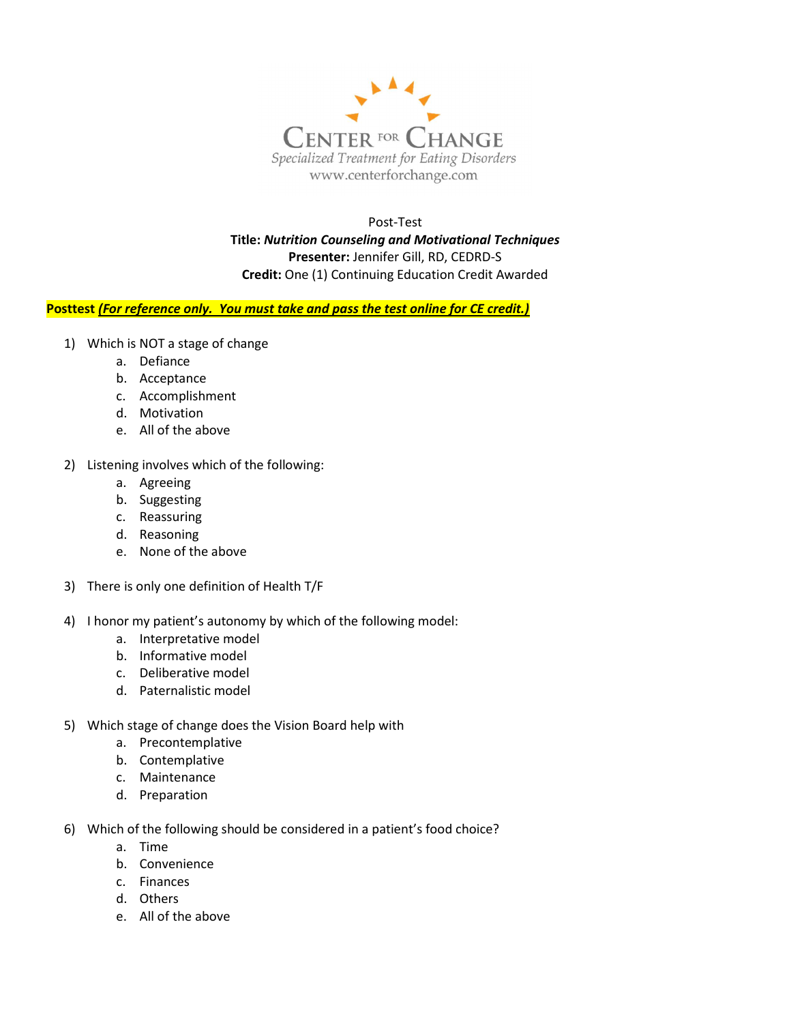

 Post-Test Title: Nutrition Counseling and Motivational Techniques Presenter: Jennifer Gill, RD, CEDRD-S Credit: One (1) Continuing Education Credit Awarded

## Posttest (For reference only. You must take and pass the test online for CE credit.)

- 1) Which is NOT a stage of change
	- a. Defiance
	- b. Acceptance
	- c. Accomplishment
	- d. Motivation
	- e. All of the above
- 2) Listening involves which of the following:
	- a. Agreeing
	- b. Suggesting
	- c. Reassuring
	- d. Reasoning
	- e. None of the above
- 3) There is only one definition of Health T/F
- 4) I honor my patient's autonomy by which of the following model:
	- a. Interpretative model
	- b. Informative model
	- c. Deliberative model
	- d. Paternalistic model
- 5) Which stage of change does the Vision Board help with
	- a. Precontemplative
	- b. Contemplative
	- c. Maintenance
	- d. Preparation
- 6) Which of the following should be considered in a patient's food choice?
	- a. Time
	- b. Convenience
	- c. Finances
	- d. Others
	- e. All of the above